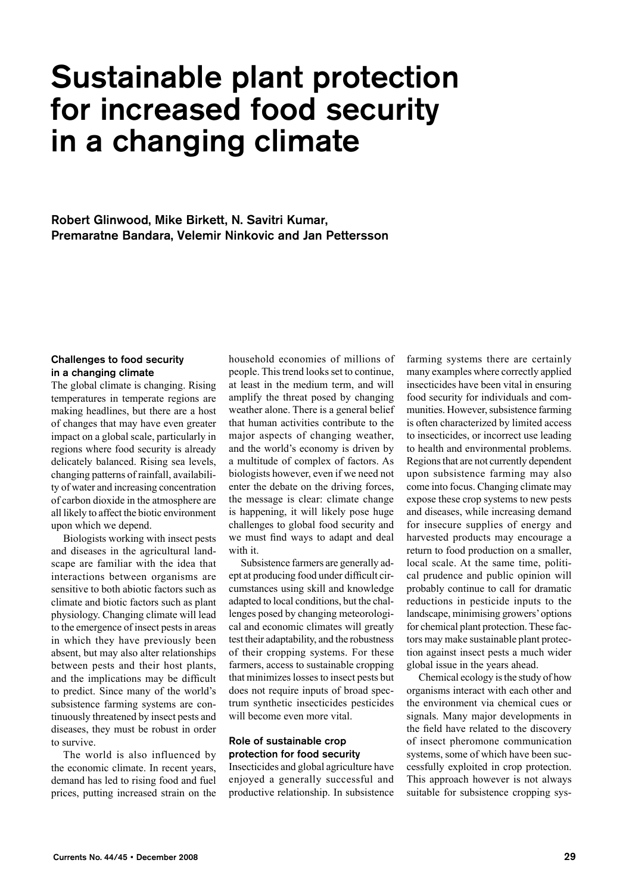# Sustainable plant protection for increased food security in a changing climate

Robert Glinwood, Mike Birkett, N. Savitri Kumar, Premaratne Bandara, Velemir Ninkovic and Jan Pettersson

#### Challenges to food security in a changing climate

The global climate is changing. Rising temperatures in temperate regions are making headlines, but there are a host of changes that may have even greater impact on a global scale, particularly in regions where food security is already delicately balanced. Rising sea levels, changing patterns of rainfall, availability of water and increasing concentration of carbon dioxide in the atmosphere are all likely to affect the biotic environment upon which we depend.

Biologists working with insect pests and diseases in the agricultural landscape are familiar with the idea that interactions between organisms are sensitive to both abiotic factors such as climate and biotic factors such as plant physiology. Changing climate will lead to the emergence of insect pests in areas in which they have previously been absent, but may also alter relationships between pests and their host plants, and the implications may be difficult to predict. Since many of the world's subsistence farming systems are continuously threatened by insect pests and diseases, they must be robust in order to survive.

The world is also influenced by the economic climate. In recent years, demand has led to rising food and fuel prices, putting increased strain on the household economies of millions of people. This trend looks set to continue, at least in the medium term, and will amplify the threat posed by changing weather alone. There is a general belief that human activities contribute to the major aspects of changing weather, and the world's economy is driven by a multitude of complex of factors. As biologists however, even if we need not enter the debate on the driving forces, the message is clear: climate change is happening, it will likely pose huge challenges to global food security and we must find ways to adapt and deal with it.

Subsistence farmers are generally adept at producing food under difficult circumstances using skill and knowledge adapted to local conditions, but the challenges posed by changing meteorological and economic climates will greatly test their adaptability, and the robustness of their cropping systems. For these farmers, access to sustainable cropping that minimizes losses to insect pests but does not require inputs of broad spectrum synthetic insecticides pesticides will become even more vital.

#### Role of sustainable crop protection for food security

Insecticides and global agriculture have enjoyed a generally successful and productive relationship. In subsistence

farming systems there are certainly many examples where correctly applied insecticides have been vital in ensuring food security for individuals and communities. However, subsistence farming is often characterized by limited access to insecticides, or incorrect use leading to health and environmental problems. Regions that are not currently dependent upon subsistence farming may also come into focus. Changing climate may expose these crop systems to new pests and diseases, while increasing demand for insecure supplies of energy and harvested products may encourage a return to food production on a smaller, local scale. At the same time, political prudence and public opinion will probably continue to call for dramatic reductions in pesticide inputs to the landscape, minimising growers' options for chemical plant protection. These factors may make sustainable plant protection against insect pests a much wider global issue in the years ahead.

Chemical ecology is the study of how organisms interact with each other and the environment via chemical cues or signals. Many major developments in the field have related to the discovery of insect pheromone communication systems, some of which have been successfully exploited in crop protection. This approach however is not always suitable for subsistence cropping sys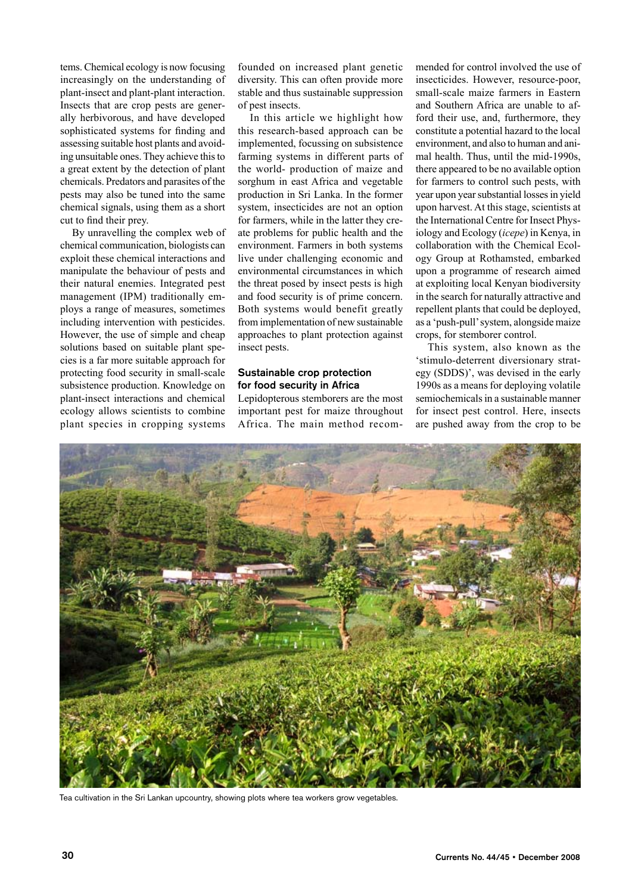tems. Chemical ecology is now focusing increasingly on the understanding of plant-insect and plant-plant interaction. Insects that are crop pests are generally herbivorous, and have developed sophisticated systems for finding and assessing suitable host plants and avoiding unsuitable ones. They achieve this to a great extent by the detection of plant chemicals. Predators and parasites of the pests may also be tuned into the same chemical signals, using them as a short cut to find their prey.

By unravelling the complex web of chemical communication, biologists can exploit these chemical interactions and manipulate the behaviour of pests and their natural enemies. Integrated pest management (IPM) traditionally employs a range of measures, sometimes including intervention with pesticides. However, the use of simple and cheap solutions based on suitable plant species is a far more suitable approach for protecting food security in small-scale subsistence production. Knowledge on plant-insect interactions and chemical ecology allows scientists to combine plant species in cropping systems

founded on increased plant genetic diversity. This can often provide more stable and thus sustainable suppression of pest insects.

In this article we highlight how this research-based approach can be implemented, focussing on subsistence farming systems in different parts of the world- production of maize and sorghum in east Africa and vegetable production in Sri Lanka. In the former system, insecticides are not an option for farmers, while in the latter they create problems for public health and the environment. Farmers in both systems live under challenging economic and environmental circumstances in which the threat posed by insect pests is high and food security is of prime concern. Both systems would benefit greatly from implementation of new sustainable approaches to plant protection against insect pests.

## Sustainable crop protection for food security in Africa

Lepidopterous stemborers are the most important pest for maize throughout Africa. The main method recom-

mended for control involved the use of insecticides. However, resource-poor, small-scale maize farmers in Eastern and Southern Africa are unable to afford their use, and, furthermore, they constitute a potential hazard to the local environment, and also to human and animal health. Thus, until the mid-1990s, there appeared to be no available option for farmers to control such pests, with year upon year substantial losses in yield upon harvest. At this stage, scientists at the International Centre for Insect Physiology and Ecology (*icepe*) in Kenya, in collaboration with the Chemical Ecology Group at Rothamsted, embarked upon a programme of research aimed at exploiting local Kenyan biodiversity in the search for naturally attractive and repellent plants that could be deployed, as a 'push-pull' system, alongside maize crops, for stemborer control.

This system, also known as the 'stimulo-deterrent diversionary strategy (SDDS)', was devised in the early 1990s as a means for deploying volatile semiochemicals in a sustainable manner for insect pest control. Here, insects are pushed away from the crop to be



Tea cultivation in the Sri Lankan upcountry, showing plots where tea workers grow vegetables.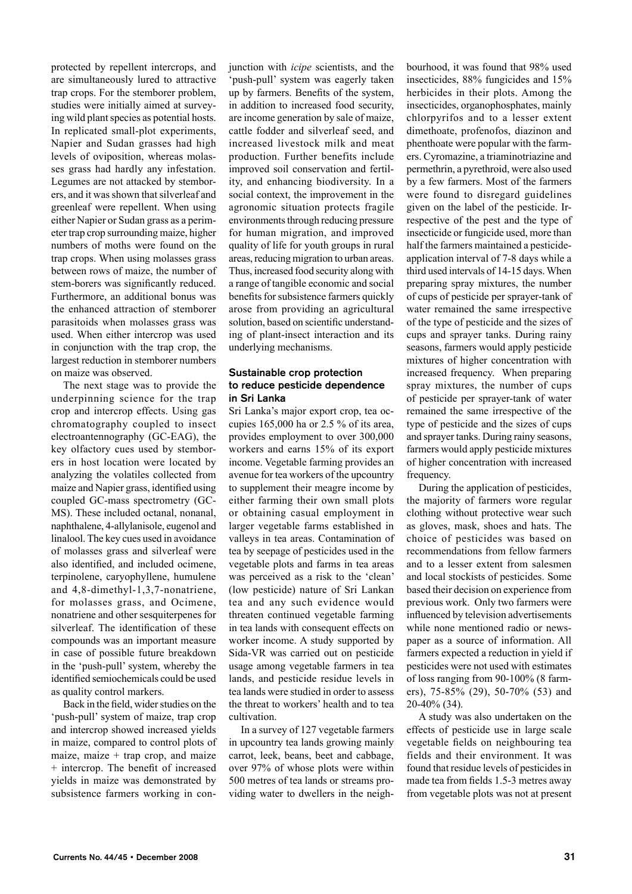protected by repellent intercrops, and are simultaneously lured to attractive trap crops. For the stemborer problem, studies were initially aimed at surveying wild plant species as potential hosts. In replicated small-plot experiments, Napier and Sudan grasses had high levels of oviposition, whereas molasses grass had hardly any infestation. Legumes are not attacked by stemborers, and it was shown that silverleaf and greenleaf were repellent. When using either Napier or Sudan grass as a perimeter trap crop surrounding maize, higher numbers of moths were found on the trap crops. When using molasses grass between rows of maize, the number of stem-borers was significantly reduced. Furthermore, an additional bonus was the enhanced attraction of stemborer parasitoids when molasses grass was used. When either intercrop was used in conjunction with the trap crop, the largest reduction in stemborer numbers on maize was observed.

The next stage was to provide the underpinning science for the trap crop and intercrop effects. Using gas chromatography coupled to insect electroantennography (GC-EAG), the key olfactory cues used by stemborers in host location were located by analyzing the volatiles collected from maize and Napier grass, identified using coupled GC-mass spectrometry (GC-MS). These included octanal, nonanal, naphthalene, 4-allylanisole, eugenol and linalool. The key cues used in avoidance of molasses grass and silverleaf were also identified, and included ocimene, terpinolene, caryophyllene, humulene and 4,8-dimethyl-1,3,7-nonatriene, for molasses grass, and Ocimene, nonatriene and other sesquiterpenes for silverleaf. The identification of these compounds was an important measure in case of possible future breakdown in the 'push-pull' system, whereby the identified semiochemicals could be used as quality control markers.

Back in the field, wider studies on the 'push-pull' system of maize, trap crop and intercrop showed increased yields in maize, compared to control plots of maize, maize  $+$  trap crop, and maize + intercrop. The benefit of increased yields in maize was demonstrated by subsistence farmers working in conjunction with *icipe* scientists, and the 'push-pull' system was eagerly taken up by farmers. Benefits of the system, in addition to increased food security, are income generation by sale of maize, cattle fodder and silverleaf seed, and increased livestock milk and meat production. Further benefits include improved soil conservation and fertility, and enhancing biodiversity. In a social context, the improvement in the agronomic situation protects fragile environments through reducing pressure for human migration, and improved quality of life for youth groups in rural areas, reducing migration to urban areas. Thus, increased food security along with a range of tangible economic and social benefits for subsistence farmers quickly arose from providing an agricultural solution, based on scientific understanding of plant-insect interaction and its underlying mechanisms.

#### Sustainable crop protection to reduce pesticide dependence in Sri Lanka

Sri Lanka's major export crop, tea occupies 165,000 ha or 2.5 % of its area, provides employment to over 300,000 workers and earns 15% of its export income. Vegetable farming provides an avenue for tea workers of the upcountry to supplement their meagre income by either farming their own small plots or obtaining casual employment in larger vegetable farms established in valleys in tea areas. Contamination of tea by seepage of pesticides used in the vegetable plots and farms in tea areas was perceived as a risk to the 'clean' (low pesticide) nature of Sri Lankan tea and any such evidence would threaten continued vegetable farming in tea lands with consequent effects on worker income. A study supported by Sida-VR was carried out on pesticide usage among vegetable farmers in tea lands, and pesticide residue levels in tea lands were studied in order to assess the threat to workers' health and to tea cultivation.

In a survey of 127 vegetable farmers in upcountry tea lands growing mainly carrot, leek, beans, beet and cabbage, over 97% of whose plots were within 500 metres of tea lands or streams providing water to dwellers in the neighbourhood, it was found that 98% used insecticides, 88% fungicides and 15% herbicides in their plots. Among the insecticides, organophosphates, mainly chlorpyrifos and to a lesser extent dimethoate, profenofos, diazinon and phenthoate were popular with the farmers. Cyromazine, a triaminotriazine and permethrin, a pyrethroid, were also used by a few farmers. Most of the farmers were found to disregard guidelines given on the label of the pesticide. Irrespective of the pest and the type of insecticide or fungicide used, more than half the farmers maintained a pesticideapplication interval of 7-8 days while a third used intervals of 14-15 days. When preparing spray mixtures, the number of cups of pesticide per sprayer-tank of water remained the same irrespective of the type of pesticide and the sizes of cups and sprayer tanks. During rainy seasons, farmers would apply pesticide mixtures of higher concentration with increased frequency. When preparing spray mixtures, the number of cups of pesticide per sprayer-tank of water remained the same irrespective of the type of pesticide and the sizes of cups and sprayer tanks. During rainy seasons, farmers would apply pesticide mixtures of higher concentration with increased frequency.

During the application of pesticides, the majority of farmers wore regular clothing without protective wear such as gloves, mask, shoes and hats. The choice of pesticides was based on recommendations from fellow farmers and to a lesser extent from salesmen and local stockists of pesticides. Some based their decision on experience from previous work. Only two farmers were influenced by television advertisements while none mentioned radio or newspaper as a source of information. All farmers expected a reduction in yield if pesticides were not used with estimates of loss ranging from 90-100% (8 farmers), 75-85% (29), 50-70% (53) and 20-40% (34).

A study was also undertaken on the effects of pesticide use in large scale vegetable fields on neighbouring tea fields and their environment. It was found that residue levels of pesticides in made tea from fields 1.5-3 metres away from vegetable plots was not at present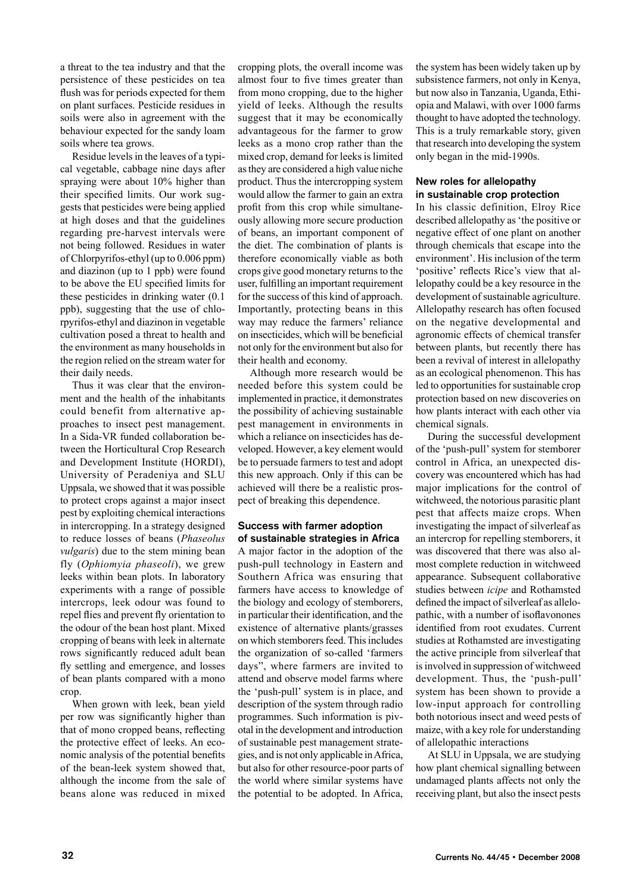a threat to the tea industry and that the persistence of these pesticides on tea flush was for periods expected for them on plant surfaces. Pesticide residues in soils were also in agreement with the behaviour expected for the sandy loam soils where tea grows.

Residue levels in the leaves of a typical vegetable, cabbage nine days after spraying were about 10% higher than their specified limits. Our work suggests that pesticides were being applied at high doses and that the guidelines regarding pre-harvest intervals were not being followed. Residues in water of Chlorpyrifos-ethyl (up to 0.006 ppm) and diazinon (up to 1 ppb) were found to be above the EU specified limits for these pesticides in drinking water (0.1 ppb), suggesting that the use of chlorpyrifos-ethyl and diazinon in vegetable cultivation posed a threat to health and the environment as many households in the region relied on the stream water for their daily needs.

Thus it was clear that the environment and the health of the inhabitants could benefit from alternative approaches to insect pest management. In a Sida-VR funded collaboration between the Horticultural Crop Research and Development Institute (HORDI), University of Peradeniya and SLU Uppsala, we showed that it was possible to protect crops against a major insect pest by exploiting chemical interactions in intercropping. In a strategy designed to reduce losses of beans (*Phaseolus vulgaris*) due to the stem mining bean fly (*Ophiomyia phaseoli*), we grew leeks within bean plots. In laboratory experiments with a range of possible intercrops, leek odour was found to repel flies and prevent fly orientation to the odour of the bean host plant. Mixed cropping of beans with leek in alternate rows significantly reduced adult bean fly settling and emergence, and losses of bean plants compared with a mono crop.

When grown with leek, bean yield per row was significantly higher than that of mono cropped beans, reflecting the protective effect of leeks. An economic analysis of the potential benefits of the bean-leek system showed that, although the income from the sale of beans alone was reduced in mixed

cropping plots, the overall income was almost four to five times greater than from mono cropping, due to the higher yield of leeks. Although the results suggest that it may be economically advantageous for the farmer to grow leeks as a mono crop rather than the mixed crop, demand for leeks is limited as they are considered a high value niche product. Thus the intercropping system would allow the farmer to gain an extra profit from this crop while simultaneously allowing more secure production of beans, an important component of the diet. The combination of plants is therefore economically viable as both crops give good monetary returns to the user, fulfilling an important requirement for the success of this kind of approach. Importantly, protecting beans in this way may reduce the farmers' reliance on insecticides, which will be beneficial not only for the environment but also for their health and economy.

Although more research would be needed before this system could be implemented in practice, it demonstrates the possibility of achieving sustainable pest management in environments in which a reliance on insecticides has developed. However, a key element would be to persuade farmers to test and adopt this new approach. Only if this can be achieved will there be a realistic prospect of breaking this dependence.

#### Success with farmer adoption of sustainable strategies in Africa

A major factor in the adoption of the push-pull technology in Eastern and Southern Africa was ensuring that farmers have access to knowledge of the biology and ecology of stemborers, in particular their identification, and the existence of alternative plants/grasses on which stemborers feed. This includes the organization of so-called 'farmers days", where farmers are invited to attend and observe model farms where the 'push-pull' system is in place, and description of the system through radio programmes. Such information is pivotal in the development and introduction of sustainable pest management strategies, and is not only applicable in Africa, but also for other resource-poor parts of the world where similar systems have the potential to be adopted. In Africa, the system has been widely taken up by subsistence farmers, not only in Kenya, but now also in Tanzania, Uganda, Ethiopia and Malawi, with over 1000 farms thought to have adopted the technology. This is a truly remarkable story, given that research into developing the system only began in the mid-1990s.

#### New roles for allelopathy in sustainable crop protection

In his classic definition, Elroy Rice described allelopathy as 'the positive or negative effect of one plant on another through chemicals that escape into the environment'. His inclusion of the term 'positive' reflects Rice's view that allelopathy could be a key resource in the development of sustainable agriculture. Allelopathy research has often focused on the negative developmental and agronomic effects of chemical transfer between plants, but recently there has been a revival of interest in allelopathy as an ecological phenomenon. This has led to opportunities for sustainable crop protection based on new discoveries on how plants interact with each other via chemical signals.

During the successful development of the 'push-pull' system for stemborer control in Africa, an unexpected discovery was encountered which has had major implications for the control of witchweed, the notorious parasitic plant pest that affects maize crops. When investigating the impact of silverleaf as an intercrop for repelling stemborers, it was discovered that there was also almost complete reduction in witchweed appearance. Subsequent collaborative studies between *icipe* and Rothamsted defined the impact of silverleaf as allelopathic, with a number of isoflavonones identified from root exudates. Current studies at Rothamsted are investigating the active principle from silverleaf that is involved in suppression of witchweed development. Thus, the 'push-pull' system has been shown to provide a low-input approach for controlling both notorious insect and weed pests of maize, with a key role for understanding of allelopathic interactions

At SLU in Uppsala, we are studying how plant chemical signalling between undamaged plants affects not only the receiving plant, but also the insect pests